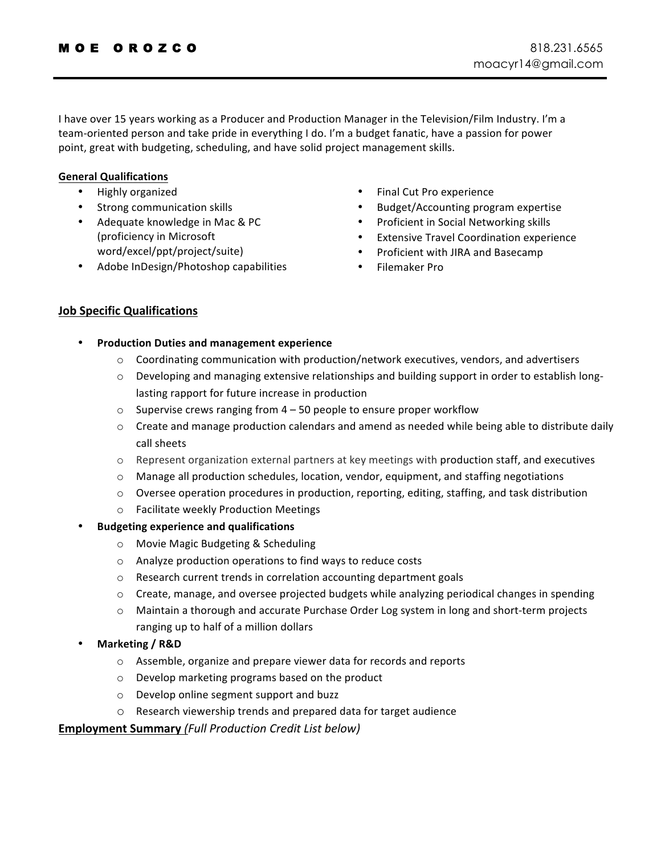I have over 15 years working as a Producer and Production Manager in the Television/Film Industry. I'm a team-oriented person and take pride in everything I do. I'm a budget fanatic, have a passion for power point, great with budgeting, scheduling, and have solid project management skills.

## **General Qualifications**

- Highly organized
- Strong communication skills
- Adequate knowledge in Mac & PC (proficiency in Microsoft word/excel/ppt/project/suite)
- Adobe InDesign/Photoshop capabilities
- Final Cut Pro experience
- Budget/Accounting program expertise
- Proficient in Social Networking skills
- Extensive Travel Coordination experience
- Proficient with JIRA and Basecamp
- Filemaker Pro

## **Job Specific Qualifications**

- **Production Duties and management experience**
	- $\circ$  Coordinating communication with production/network executives, vendors, and advertisers
	- $\circ$  Developing and managing extensive relationships and building support in order to establish longlasting rapport for future increase in production
	- $\circ$  Supervise crews ranging from 4 50 people to ensure proper workflow
	- $\circ$  Create and manage production calendars and amend as needed while being able to distribute daily call sheets
	- $\circ$  Represent organization external partners at key meetings with production staff, and executives
	- $\circ$  Manage all production schedules, location, vendor, equipment, and staffing negotiations
	- $\circ$  Oversee operation procedures in production, reporting, editing, staffing, and task distribution
	- o Facilitate weekly Production Meetings
- **Budgeting experience and qualifications**
	- $\circ$  Movie Magic Budgeting & Scheduling
	- $\circ$  Analyze production operations to find ways to reduce costs
	- $\circ$  Research current trends in correlation accounting department goals
	- $\circ$  Create, manage, and oversee projected budgets while analyzing periodical changes in spending
	- $\circ$  Maintain a thorough and accurate Purchase Order Log system in long and short-term projects ranging up to half of a million dollars
- **Marketing / R&D**
	- $\circ$  Assemble, organize and prepare viewer data for records and reports
	- $\circ$  Develop marketing programs based on the product
	- o Develop online segment support and buzz
	- $\circ$  Research viewership trends and prepared data for target audience

**Employment Summary** *(Full Production Credit List below)*